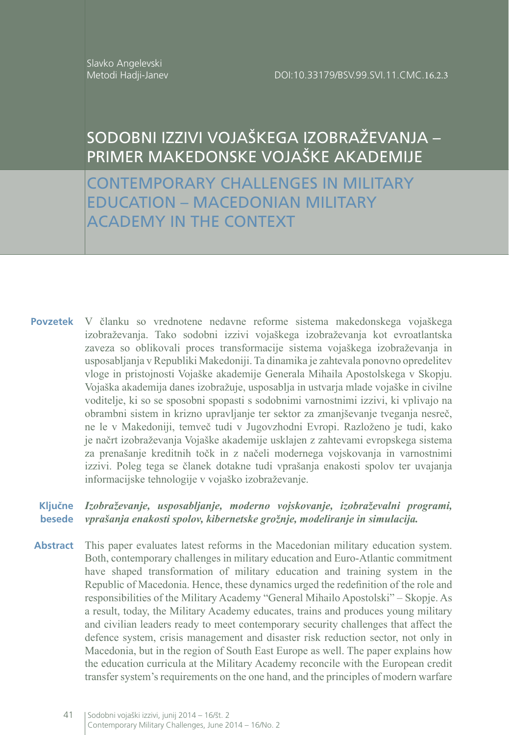Slavko Angelevski Metodi Hadji-Janev

# SODOBNI IZZIVI VOJAŠKEGA IZOBRAŽEVANJA – PRIMER MAKEDONSKE VOJAŠKE AKADEMIJE

CONTEMPORARY CHALLENGES IN MILITARY EDUCATION – MACEDONIAN MILITARY ACADEMY IN THE CONTEXT

V članku so vrednotene nedavne reforme sistema makedonskega vojaškega izobraževanja. Tako sodobni izzivi vojaškega izobraževanja kot evroatlantska zaveza so oblikovali proces transformacije sistema vojaškega izobraževanja in usposabljanja v Republiki Makedoniji. Ta dinamika je zahtevala ponovno opredelitev vloge in pristojnosti Vojaške akademije Generala Mihaila Apostolskega v Skopju. Vojaška akademija danes izobražuje, usposablja in ustvarja mlade vojaške in civilne voditelje, ki so se sposobni spopasti s sodobnimi varnostnimi izzivi, ki vplivajo na obrambni sistem in krizno upravljanje ter sektor za zmanjševanje tveganja nesreč, ne le v Makedoniji, temveč tudi v Jugovzhodni Evropi. Razloženo je tudi, kako je načrt izobraževanja Vojaške akademije usklajen z zahtevami evropskega sistema za prenašanje kreditnih točk in z načeli modernega vojskovanja in varnostnimi izzivi. Poleg tega se članek dotakne tudi vprašanja enakosti spolov ter uvajanja informacijske tehnologije v vojaško izobraževanje. **Povzetek**

#### *Izobraževanje, usposabljanje, moderno vojskovanje, izobraževalni programi, vprašanja enakosti spolov, kibernetske grožnje, modeliranje in simulacija.*  **Ključne besede**

This paper evaluates latest reforms in the Macedonian military education system. Both, contemporary challenges in military education and Euro-Atlantic commitment have shaped transformation of military education and training system in the Republic of Macedonia. Hence, these dynamics urged the redefinition of the role and responsibilities of the Military Academy "General Mihailo Apostolski" – Skopje. As a result, today, the Military Academy educates, trains and produces young military and civilian leaders ready to meet contemporary security challenges that affect the defence system, crisis management and disaster risk reduction sector, not only in Macedonia, but in the region of South East Europe as well. The paper explains how the education curricula at the Military Academy reconcile with the European credit transfer system's requirements on the one hand, and the principles of modern warfare **Abstract**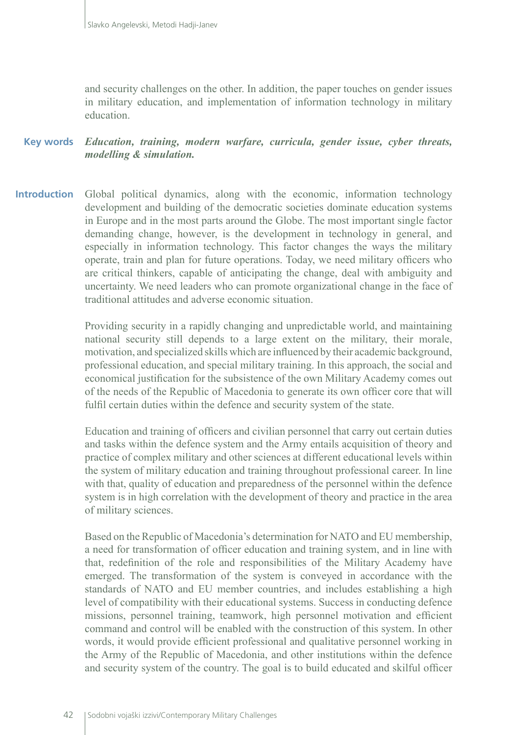and security challenges on the other. In addition, the paper touches on gender issues in military education, and implementation of information technology in military education.

**Key words** *Education, training, modern warfare, curricula, gender issue, cyber threats, modelling & simulation.*

**Introduction** Global political dynamics, along with the economic, information technology development and building of the democratic societies dominate education systems in Europe and in the most parts around the Globe. The most important single factor demanding change, however, is the development in technology in general, and especially in information technology. This factor changes the ways the military operate, train and plan for future operations. Today, we need military officers who are critical thinkers, capable of anticipating the change, deal with ambiguity and uncertainty. We need leaders who can promote organizational change in the face of traditional attitudes and adverse economic situation.

> Providing security in a rapidly changing and unpredictable world, and maintaining national security still depends to a large extent on the military, their morale, motivation, and specialized skills which are influenced by their academic background, professional education, and special military training. In this approach, the social and economical justification for the subsistence of the own Military Academy comes out of the needs of the Republic of Macedonia to generate its own officer core that will fulfil certain duties within the defence and security system of the state.

> Education and training of officers and civilian personnel that carry out certain duties and tasks within the defence system and the Army entails acquisition of theory and practice of complex military and other sciences at different educational levels within the system of military education and training throughout professional career. In line with that, quality of education and preparedness of the personnel within the defence system is in high correlation with the development of theory and practice in the area of military sciences.

> Based on the Republic of Macedonia's determination for NATO and EU membership, a need for transformation of officer education and training system, and in line with that, redefinition of the role and responsibilities of the Military Academy have emerged. The transformation of the system is conveyed in accordance with the standards of NATO and EU member countries, and includes establishing a high level of compatibility with their educational systems. Success in conducting defence missions, personnel training, teamwork, high personnel motivation and efficient command and control will be enabled with the construction of this system. In other words, it would provide efficient professional and qualitative personnel working in the Army of the Republic of Macedonia, and other institutions within the defence and security system of the country. The goal is to build educated and skilful officer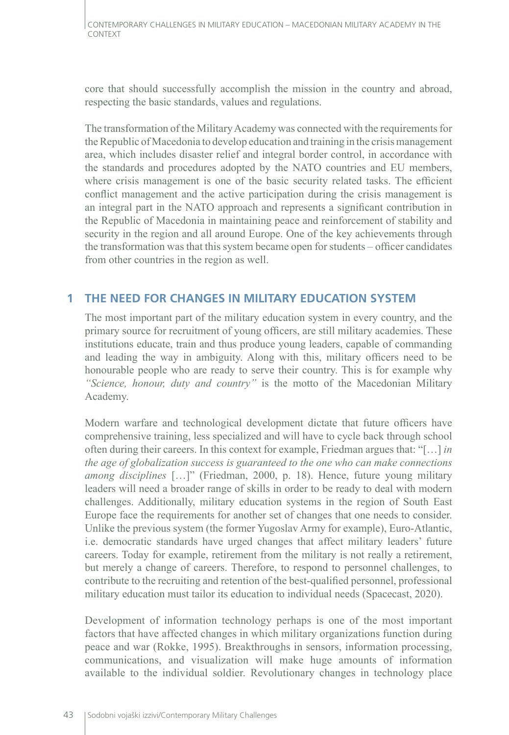core that should successfully accomplish the mission in the country and abroad, respecting the basic standards, values and regulations.

The transformation of the Military Academy was connected with the requirements for the Republic of Macedonia to develop education and training in the crisis management area, which includes disaster relief and integral border control, in accordance with the standards and procedures adopted by the NATO countries and EU members, where crisis management is one of the basic security related tasks. The efficient conflict management and the active participation during the crisis management is an integral part in the NATO approach and represents a significant contribution in the Republic of Macedonia in maintaining peace and reinforcement of stability and security in the region and all around Europe. One of the key achievements through the transformation was that this system became open for students – officer candidates from other countries in the region as well.

## **1 THE NEED FOR CHANGES IN MILITARY EDUCATION SYSTEM**

The most important part of the military education system in every country, and the primary source for recruitment of young officers, are still military academies. These institutions educate, train and thus produce young leaders, capable of commanding and leading the way in ambiguity. Along with this, military officers need to be honourable people who are ready to serve their country. This is for example why *"Science, honour, duty and country"* is the motto of the Macedonian Military Academy.

Modern warfare and technological development dictate that future officers have comprehensive training, less specialized and will have to cycle back through school often during their careers. In this context for example, Friedman argues that: "[…] *in the age of globalization success is guaranteed to the one who can make connections among disciplines* […]" (Friedman, 2000, p. 18). Hence, future young military leaders will need a broader range of skills in order to be ready to deal with modern challenges. Additionally, military education systems in the region of South East Europe face the requirements for another set of changes that one needs to consider. Unlike the previous system (the former Yugoslav Army for example), Euro-Atlantic, i.e. democratic standards have urged changes that affect military leaders' future careers. Today for example, retirement from the military is not really a retirement, but merely a change of careers. Therefore, to respond to personnel challenges, to contribute to the recruiting and retention of the best-qualified personnel, professional military education must tailor its education to individual needs (Spacecast, 2020).

Development of information technology perhaps is one of the most important factors that have affected changes in which military organizations function during peace and war (Rokke, 1995). Breakthroughs in sensors, information processing, communications, and visualization will make huge amounts of information available to the individual soldier. Revolutionary changes in technology place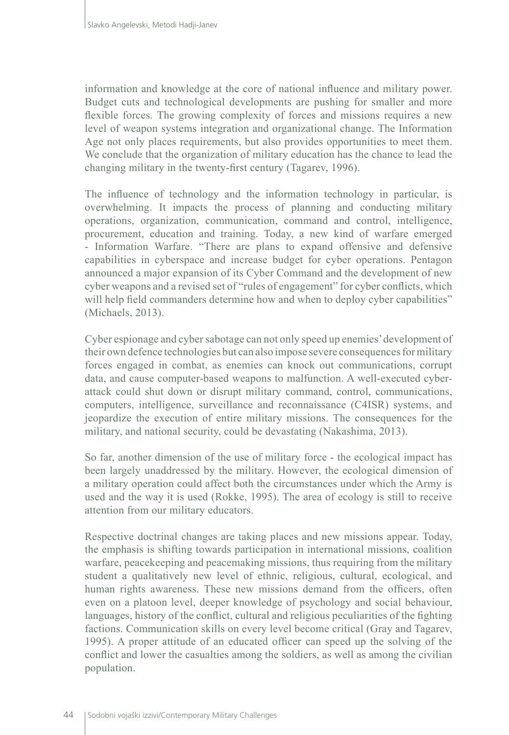information and knowledge at the core of national influence and military power. Budget cuts and technological developments are pushing for smaller and more flexible forces. The growing complexity of forces and missions requires a new level of weapon systems integration and organizational change. The Information Age not only places requirements, but also provides opportunities to meet them. We conclude that the organization of military education has the chance to lead the changing military in the twenty-first century (Tagarev, 1996).

The influence of technology and the information technology in particular, is overwhelming. It impacts the process of planning and conducting military operations, organization, communication, command and control, intelligence, procurement, education and training. Today, a new kind of warfare emerged - Information Warfare. "There are plans to expand offensive and defensive capabilities in cyberspace and increase budget for cyber operations. Pentagon announced a major expansion of its Cyber Command and the development of new cyber weapons and a revised set of "rules of engagement" for cyber conflicts, which will help field commanders determine how and when to deploy cyber capabilities" (Michaels, 2013).

Cyber espionage and cyber sabotage can not only speed up enemies' development of their own defence technologies but can also impose severe consequences for military forces engaged in combat, as enemies can knock out communications, corrupt data, and cause computer-based weapons to malfunction. A well-executed cyberattack could shut down or disrupt military command, control, communications, computers, intelligence, surveillance and reconnaissance (C4ISR) systems, and jeopardize the execution of entire military missions. The consequences for the military, and national security, could be devastating (Nakashima, 2013).

So far, another dimension of the use of military force - the ecological impact has been largely unaddressed by the military. However, the ecological dimension of a military operation could affect both the circumstances under which the Army is used and the way it is used (Rokke, 1995). The area of ecology is still to receive attention from our military educators.

Respective doctrinal changes are taking places and new missions appear. Today, the emphasis is shifting towards participation in international missions, coalition warfare, peacekeeping and peacemaking missions, thus requiring from the military student a qualitatively new level of ethnic, religious, cultural, ecological, and human rights awareness. These new missions demand from the officers, often even on a platoon level, deeper knowledge of psychology and social behaviour, languages, history of the conflict, cultural and religious peculiarities of the fighting factions. Communication skills on every level become critical (Gray and Tagarev, 1995). A proper attitude of an educated officer can speed up the solving of the conflict and lower the casualties among the soldiers, as well as among the civilian population.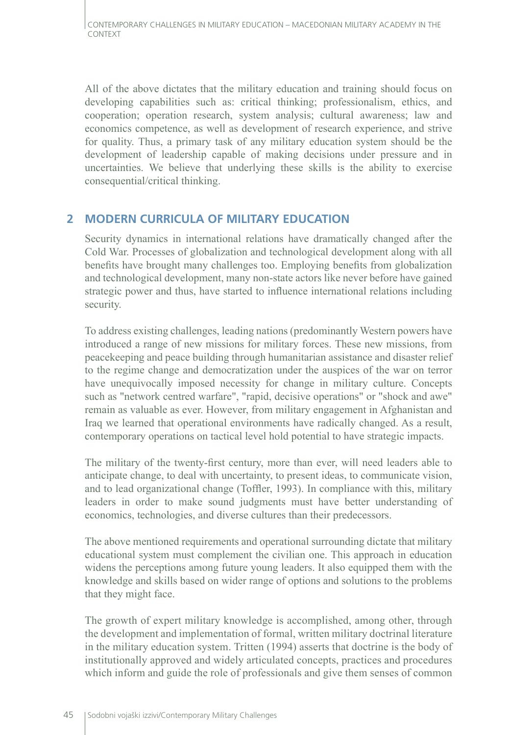All of the above dictates that the military education and training should focus on developing capabilities such as: critical thinking; professionalism, ethics, and cooperation; operation research, system analysis; cultural awareness; law and economics competence, as well as development of research experience, and strive for quality. Thus, a primary task of any military education system should be the development of leadership capable of making decisions under pressure and in uncertainties. We believe that underlying these skills is the ability to exercise consequential/critical thinking.

### **2 MODERN CURRICULA OF MILITARY EDUCATION**

Security dynamics in international relations have dramatically changed after the Cold War. Processes of globalization and technological development along with all benefits have brought many challenges too. Employing benefits from globalization and technological development, many non-state actors like never before have gained strategic power and thus, have started to influence international relations including security.

To address existing challenges, leading nations (predominantly Western powers have introduced a range of new missions for military forces. These new missions, from peacekeeping and peace building through humanitarian assistance and disaster relief to the regime change and democratization under the auspices of the war on terror have unequivocally imposed necessity for change in military culture. Concepts such as "network centred warfare", "rapid, decisive operations" or "shock and awe" remain as valuable as ever. However, from military engagement in Afghanistan and Iraq we learned that operational environments have radically changed. As a result, contemporary operations on tactical level hold potential to have strategic impacts.

The military of the twenty-first century, more than ever, will need leaders able to anticipate change, to deal with uncertainty, to present ideas, to communicate vision, and to lead organizational change (Toffler, 1993). In compliance with this, military leaders in order to make sound judgments must have better understanding of economics, technologies, and diverse cultures than their predecessors.

The above mentioned requirements and operational surrounding dictate that military educational system must complement the civilian one. This approach in education widens the perceptions among future young leaders. It also equipped them with the knowledge and skills based on wider range of options and solutions to the problems that they might face.

The growth of expert military knowledge is accomplished, among other, through the development and implementation of formal, written military doctrinal literature in the military education system. Tritten (1994) asserts that doctrine is the body of institutionally approved and widely articulated concepts, practices and procedures which inform and guide the role of professionals and give them senses of common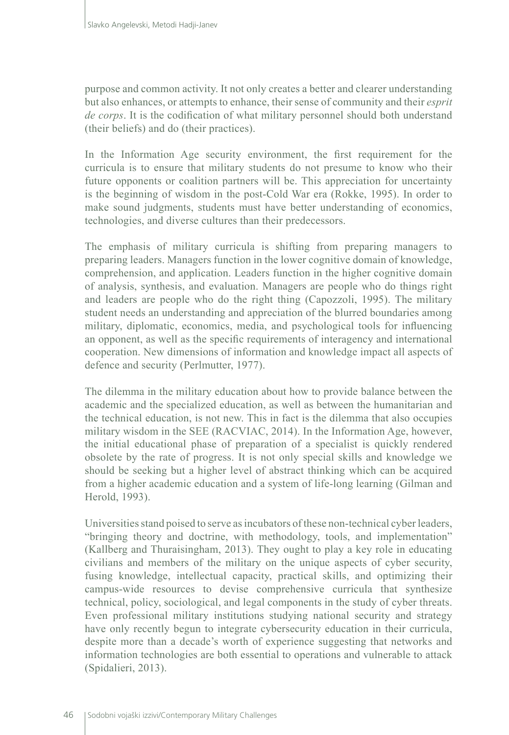purpose and common activity. It not only creates a better and clearer understanding but also enhances, or attempts to enhance, their sense of community and their *esprit de corps*. It is the codification of what military personnel should both understand (their beliefs) and do (their practices).

In the Information Age security environment, the first requirement for the curricula is to ensure that military students do not presume to know who their future opponents or coalition partners will be. This appreciation for uncertainty is the beginning of wisdom in the post-Cold War era (Rokke, 1995). In order to make sound judgments, students must have better understanding of economics, technologies, and diverse cultures than their predecessors.

The emphasis of military curricula is shifting from preparing managers to preparing leaders. Managers function in the lower cognitive domain of knowledge, comprehension, and application. Leaders function in the higher cognitive domain of analysis, synthesis, and evaluation. Managers are people who do things right and leaders are people who do the right thing (Capozzoli, 1995). The military student needs an understanding and appreciation of the blurred boundaries among military, diplomatic, economics, media, and psychological tools for influencing an opponent, as well as the specific requirements of interagency and international cooperation. New dimensions of information and knowledge impact all aspects of defence and security (Perlmutter, 1977).

The dilemma in the military education about how to provide balance between the academic and the specialized education, as well as between the humanitarian and the technical education, is not new. This in fact is the dilemma that also occupies military wisdom in the SEE (RACVIAC, 2014). In the Information Age, however, the initial educational phase of preparation of a specialist is quickly rendered obsolete by the rate of progress. It is not only special skills and knowledge we should be seeking but a higher level of abstract thinking which can be acquired from a higher academic education and a system of life-long learning (Gilman and Herold, 1993).

Universities stand poised to serve as incubators of these non-technical cyber leaders, "bringing theory and doctrine, with methodology, tools, and implementation" (Kallberg and Thuraisingham, 2013). They ought to play a key role in educating civilians and members of the military on the unique aspects of cyber security, fusing knowledge, intellectual capacity, practical skills, and optimizing their campus-wide resources to devise comprehensive curricula that synthesize technical, policy, sociological, and legal components in the study of cyber threats. Even professional military institutions studying national security and strategy have only recently begun to integrate cybersecurity education in their curricula, despite more than a decade's worth of experience suggesting that networks and information technologies are both essential to operations and vulnerable to attack (Spidalieri, 2013).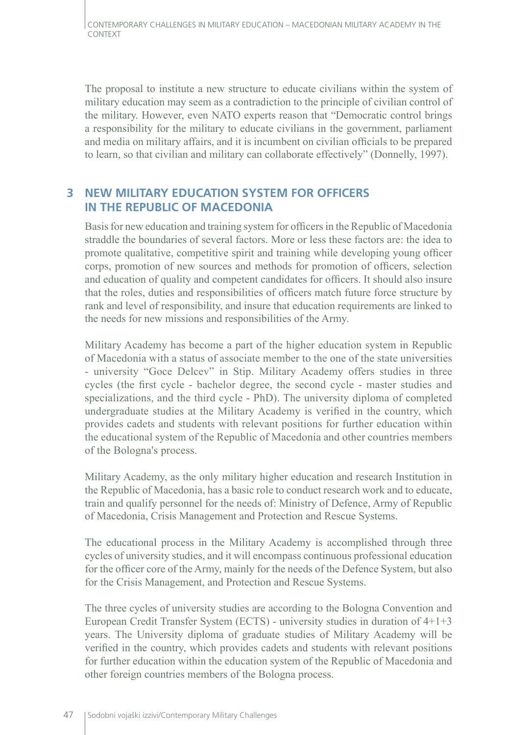The proposal to institute a new structure to educate civilians within the system of military education may seem as a contradiction to the principle of civilian control of the military. However, even NATO experts reason that "Democratic control brings a responsibility for the military to educate civilians in the government, parliament and media on military affairs, and it is incumbent on civilian officials to be prepared to learn, so that civilian and military can collaborate effectively" (Donnelly, 1997).

### **3 NEW MILITARY EDUCATION SYSTEM FOR OFFICERS IN THE REPUBLIC OF MACEDONIA**

Basis for new education and training system for officers in the Republic of Macedonia straddle the boundaries of several factors. More or less these factors are: the idea to promote qualitative, competitive spirit and training while developing young officer corps, promotion of new sources and methods for promotion of officers, selection and education of quality and competent candidates for officers. It should also insure that the roles, duties and responsibilities of officers match future force structure by rank and level of responsibility, and insure that education requirements are linked to the needs for new missions and responsibilities of the Army.

Military Academy has become a part of the higher education system in Republic of Macedonia with a status of associate member to the one of the state universities - university "Goce Delcev" in Stip. Military Academy offers studies in three cycles (the first cycle - bachelor degree, the second cycle - master studies and specializations, and the third cycle - PhD). The university diploma of completed undergraduate studies at the Military Academy is verified in the country, which provides cadets and students with relevant positions for further education within the educational system of the Republic of Macedonia and other countries members of the Bologna's process.

Military Academy, as the only military higher education and research Institution in the Republic of Macedonia, has a basic role to conduct research work and to educate, train and qualify personnel for the needs of: Ministry of Defence, Army of Republic of Macedonia, Crisis Management and Protection and Rescue Systems.

The educational process in the Military Academy is accomplished through three cycles of university studies, and it will encompass continuous professional education for the officer core of the Army, mainly for the needs of the Defence System, but also for the Crisis Management, and Protection and Rescue Systems.

The three cycles of university studies are according to the Bologna Convention and European Credit Transfer System (ECTS) - university studies in duration of 4+1+3 years. The University diploma of graduate studies of Military Academy will be verified in the country, which provides cadets and students with relevant positions for further education within the education system of the Republic of Macedonia and other foreign countries members of the Bologna process.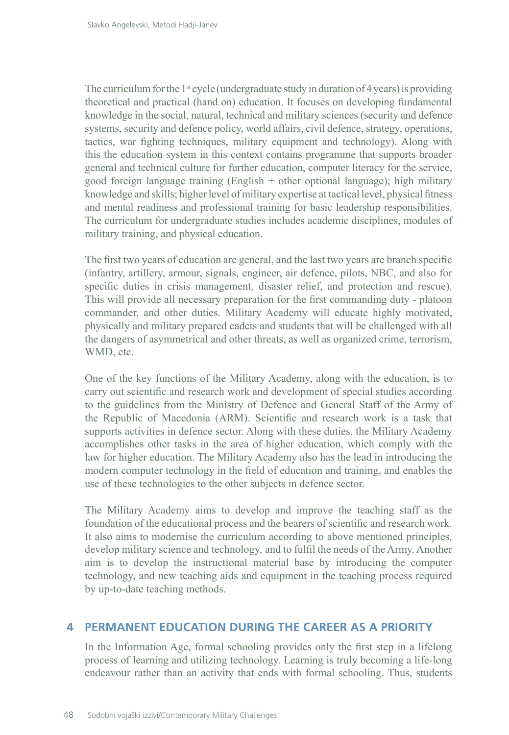The curriculum for the 1<sup>st</sup> cycle (undergraduate study in duration of 4 years) is providing theoretical and practical (hand on) education. It focuses on developing fundamental knowledge in the social, natural, technical and military sciences (security and defence systems, security and defence policy, world affairs, civil defence, strategy, operations, tactics, war fighting techniques, military equipment and technology). Along with this the education system in this context contains programme that supports broader general and technical culture for further education, computer literacy for the service, good foreign language training (English + other optional language); high military knowledge and skills; higher level of military expertise at tactical level, physical fitness and mental readiness and professional training for basic leadership responsibilities. The curriculum for undergraduate studies includes academic disciplines, modules of military training, and physical education.

The first two years of education are general, and the last two years are branch specific (infantry, artillery, armour, signals, engineer, air defence, pilots, NBC, and also for specific duties in crisis management, disaster relief, and protection and rescue). This will provide all necessary preparation for the first commanding duty - platoon commander, and other duties. Military Academy will educate highly motivated, physically and military prepared cadets and students that will be challenged with all the dangers of asymmetrical and other threats, as well as organized crime, terrorism, WMD, etc.

One of the key functions of the Military Academy, along with the education, is to carry out scientific and research work and development of special studies according to the guidelines from the Ministry of Defence and General Staff of the Army of the Republic of Macedonia (ARM). Scientific and research work is a task that supports activities in defence sector. Along with these duties, the Military Academy accomplishes other tasks in the area of higher education, which comply with the law for higher education. The Military Academy also has the lead in introducing the modern computer technology in the field of education and training, and enables the use of these technologies to the other subjects in defence sector.

The Military Academy aims to develop and improve the teaching staff as the foundation of the educational process and the bearers of scientific and research work. It also aims to modernise the curriculum according to above mentioned principles*,*  develop military science and technology*,* and to fulfil the needs of the Army. Another aim is to develop the instructional material base by introducing the computer technology, and new teaching aids and equipment in the teaching process required by up-to-date teaching methods.

#### **4 PERMANENT EDUCATION DURING THE CAREER AS A PRIORITY**

In the Information Age, formal schooling provides only the first step in a lifelong process of learning and utilizing technology. Learning is truly becoming a life-long endeavour rather than an activity that ends with formal schooling. Thus, students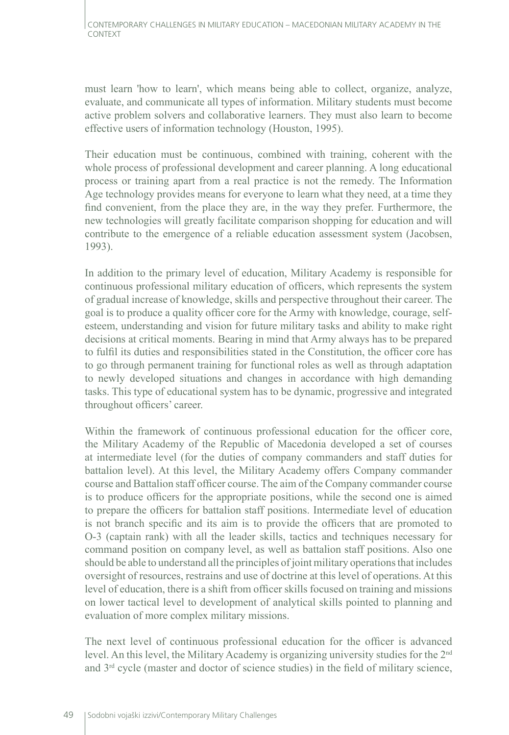must learn 'how to learn', which means being able to collect, organize, analyze, evaluate, and communicate all types of information. Military students must become active problem solvers and collaborative learners. They must also learn to become effective users of information technology (Houston, 1995).

Their education must be continuous, combined with training, coherent with the whole process of professional development and career planning. A long educational process or training apart from a real practice is not the remedy. The Information Age technology provides means for everyone to learn what they need, at a time they find convenient, from the place they are, in the way they prefer. Furthermore, the new technologies will greatly facilitate comparison shopping for education and will contribute to the emergence of a reliable education assessment system (Jacobsen, 1993).

In addition to the primary level of education, Military Academy is responsible for continuous professional military education of officers, which represents the system of gradual increase of knowledge, skills and perspective throughout their career. The goal is to produce a quality officer core for the Army with knowledge, courage, selfesteem, understanding and vision for future military tasks and ability to make right decisions at critical moments. Bearing in mind that Army always has to be prepared to fulfil its duties and responsibilities stated in the Constitution, the officer core has to go through permanent training for functional roles as well as through adaptation to newly developed situations and changes in accordance with high demanding tasks. This type of educational system has to be dynamic, progressive and integrated throughout officers' career.

Within the framework of continuous professional education for the officer core, the Military Academy of the Republic of Macedonia developed a set of courses at intermediate level (for the duties of company commanders and staff duties for battalion level). At this level, the Military Academy offers Company commander course and Battalion staff officer course. The aim of the Company commander course is to produce officers for the appropriate positions, while the second one is aimed to prepare the officers for battalion staff positions. Intermediate level of education is not branch specific and its aim is to provide the officers that are promoted to O-3 (captain rank) with all the leader skills, tactics and techniques necessary for command position on company level, as well as battalion staff positions. Also one should be able to understand all the principles of joint military operations that includes oversight of resources, restrains and use of doctrine at this level of operations. At this level of education, there is a shift from officer skills focused on training and missions on lower tactical level to development of analytical skills pointed to planning and evaluation of more complex military missions.

The next level of continuous professional education for the officer is advanced level. An this level, the Military Academy is organizing university studies for the 2nd and  $3<sup>rd</sup>$  cycle (master and doctor of science studies) in the field of military science,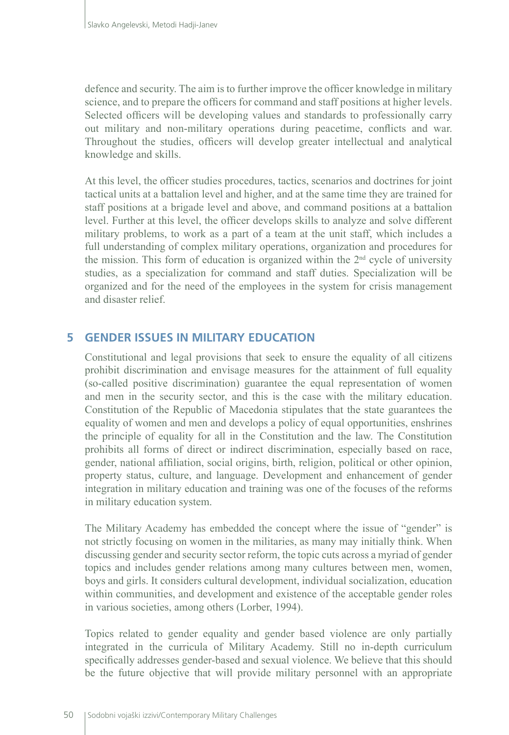defence and security. The aim is to further improve the officer knowledge in military science, and to prepare the officers for command and staff positions at higher levels. Selected officers will be developing values and standards to professionally carry out military and non-military operations during peacetime, conflicts and war. Throughout the studies, officers will develop greater intellectual and analytical knowledge and skills.

At this level, the officer studies procedures, tactics, scenarios and doctrines for joint tactical units at a battalion level and higher, and at the same time they are trained for staff positions at a brigade level and above, and command positions at a battalion level. Further at this level, the officer develops skills to analyze and solve different military problems, to work as a part of a team at the unit staff, which includes a full understanding of complex military operations, organization and procedures for the mission. This form of education is organized within the  $2<sup>nd</sup>$  cycle of university studies, as a specialization for command and staff duties. Specialization will be organized and for the need of the employees in the system for crisis management and disaster relief.

### **5 GENDER ISSUES IN MILITARY EDUCATION**

Constitutional and legal provisions that seek to ensure the equality of all citizens prohibit discrimination and envisage measures for the attainment of full equality (so-called positive discrimination) guarantee the equal representation of women and men in the security sector, and this is the case with the military education. Constitution of the Republic of Macedonia stipulates that the state guarantees the equality of women and men and develops a policy of equal opportunities, enshrines the principle of equality for all in the Constitution and the law. The Constitution prohibits all forms of direct or indirect discrimination, especially based on race, gender, national affiliation, social origins, birth, religion, political or other opinion, property status, culture, and language. Development and enhancement of gender integration in military education and training was one of the focuses of the reforms in military education system.

The Military Academy has embedded the concept where the issue of "gender" is not strictly focusing on women in the militaries, as many may initially think. When discussing gender and security sector reform, the topic cuts across a myriad of gender topics and includes gender relations among many cultures between men, women, boys and girls. It considers cultural development, individual socialization, education within communities, and development and existence of the acceptable gender roles in various societies, among others (Lorber, 1994).

Topics related to gender equality and gender based violence are only partially integrated in the curricula of Military Academy. Still no in-depth curriculum specifically addresses gender-based and sexual violence. We believe that this should be the future objective that will provide military personnel with an appropriate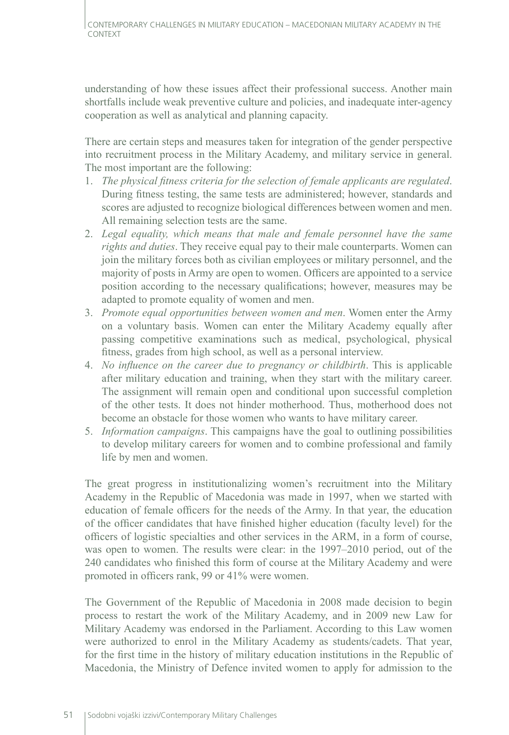understanding of how these issues affect their professional success. Another main shortfalls include weak preventive culture and policies, and inadequate inter-agency cooperation as well as analytical and planning capacity.

There are certain steps and measures taken for integration of the gender perspective into recruitment process in the Military Academy, and military service in general. The most important are the following:

- 1. *The physical fitness criteria for the selection of female applicants are regulated*. During fitness testing, the same tests are administered; however, standards and scores are adjusted to recognize biological differences between women and men. All remaining selection tests are the same.
- 2. *Legal equality, which means that male and female personnel have the same rights and duties*. They receive equal pay to their male counterparts. Women can join the military forces both as civilian employees or military personnel, and the majority of posts in Army are open to women. Officers are appointed to a service position according to the necessary qualifications; however, measures may be adapted to promote equality of women and men.
- 3. *Promote equal opportunities between women and men*. Women enter the Army on a voluntary basis. Women can enter the Military Academy equally after passing competitive examinations such as medical, psychological, physical fitness, grades from high school, as well as a personal interview.
- 4. *No influence on the career due to pregnancy or childbirth*. This is applicable after military education and training, when they start with the military career. The assignment will remain open and conditional upon successful completion of the other tests. It does not hinder motherhood. Thus, motherhood does not become an obstacle for those women who wants to have military career.
- 5. *Information campaigns*. This campaigns have the goal to outlining possibilities to develop military careers for women and to combine professional and family life by men and women.

The great progress in institutionalizing women's recruitment into the Military Academy in the Republic of Macedonia was made in 1997, when we started with education of female officers for the needs of the Army. In that year, the education of the officer candidates that have finished higher education (faculty level) for the officers of logistic specialties and other services in the ARM, in a form of course, was open to women. The results were clear: in the 1997–2010 period, out of the 240 candidates who finished this form of course at the Military Academy and were promoted in officers rank, 99 or 41% were women.

The Government of the Republic of Macedonia in 2008 made decision to begin process to restart the work of the Military Academy, and in 2009 new Law for Military Academy was endorsed in the Parliament. According to this Law women were authorized to enrol in the Military Academy as students/cadets. That year, for the first time in the history of military education institutions in the Republic of Macedonia, the Ministry of Defence invited women to apply for admission to the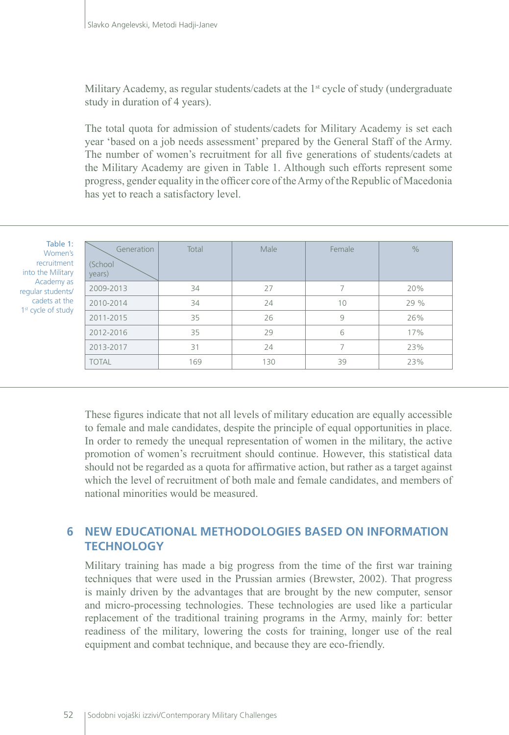Military Academy, as regular students/cadets at the 1<sup>st</sup> cycle of study (undergraduate study in duration of 4 years).

The total quota for admission of students/cadets for Military Academy is set each year 'based on a job needs assessment' prepared by the General Staff of the Army. The number of women's recruitment for all five generations of students/cadets at the Military Academy are given in Table 1. Although such efforts represent some progress, gender equality in the officer core of the Army of the Republic of Macedonia has yet to reach a satisfactory level.

| Table 1:<br>Women's<br>recruitment<br>into the Military<br>Academy as<br>regular students/<br>cadets at the<br>1 <sup>st</sup> cycle of study | Generation<br>(School<br>years) | Total | Male | Female | $\frac{0}{0}$ |
|-----------------------------------------------------------------------------------------------------------------------------------------------|---------------------------------|-------|------|--------|---------------|
|                                                                                                                                               | 2009-2013                       | 34    | 27   | 7      | 20%           |
|                                                                                                                                               | 2010-2014                       | 34    | 24   | 10     | 29%           |
|                                                                                                                                               | 2011-2015                       | 35    | 26   | 9      | 26%           |
|                                                                                                                                               | 2012-2016                       | 35    | 29   | 6      | 17%           |
|                                                                                                                                               | 2013-2017                       | 31    | 24   | 7      | 23%           |
|                                                                                                                                               | <b>TOTAL</b>                    | 169   | 130  | 39     | 23%           |
|                                                                                                                                               |                                 |       |      |        |               |

These figures indicate that not all levels of military education are equally accessible to female and male candidates, despite the principle of equal opportunities in place. In order to remedy the unequal representation of women in the military, the active promotion of women's recruitment should continue. However, this statistical data should not be regarded as a quota for affirmative action, but rather as a target against which the level of recruitment of both male and female candidates, and members of national minorities would be measured.

#### **6 NEW EDUCATIONAL METHODOLOGIES BASED ON INFORMATION TECHNOLOGY**

Military training has made a big progress from the time of the first war training techniques that were used in the Prussian armies (Brewster, 2002). That progress is mainly driven by the advantages that are brought by the new computer, sensor and micro-processing technologies. These technologies are used like a particular replacement of the traditional training programs in the Army, mainly for: better readiness of the military, lowering the costs for training, longer use of the real equipment and combat technique, and because they are eco-friendly.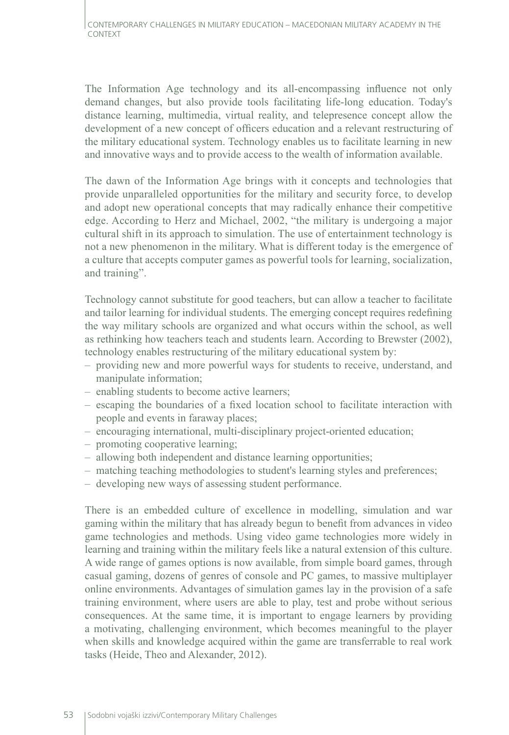The Information Age technology and its all-encompassing influence not only demand changes, but also provide tools facilitating life-long education. Today's distance learning, multimedia, virtual reality, and telepresence concept allow the development of a new concept of officers education and a relevant restructuring of the military educational system. Technology enables us to facilitate learning in new and innovative ways and to provide access to the wealth of information available.

The dawn of the Information Age brings with it concepts and technologies that provide unparalleled opportunities for the military and security force, to develop and adopt new operational concepts that may radically enhance their competitive edge. According to Herz and Michael, 2002, "the military is undergoing a major cultural shift in its approach to simulation. The use of entertainment technology is not a new phenomenon in the military. What is different today is the emergence of a culture that accepts computer games as powerful tools for learning, socialization, and training".

Technology cannot substitute for good teachers, but can allow a teacher to facilitate and tailor learning for individual students. The emerging concept requires redefining the way military schools are organized and what occurs within the school, as well as rethinking how teachers teach and students learn. According to Brewster (2002), technology enables restructuring of the military educational system by:

- providing new and more powerful ways for students to receive, understand, and manipulate information;
- enabling students to become active learners;
- escaping the boundaries of a fixed location school to facilitate interaction with people and events in faraway places;
- encouraging international, multi-disciplinary project-oriented education;
- promoting cooperative learning;
- allowing both independent and distance learning opportunities;
- matching teaching methodologies to student's learning styles and preferences;
- developing new ways of assessing student performance.

There is an embedded culture of excellence in modelling, simulation and war gaming within the military that has already begun to benefit from advances in video game technologies and methods. Using video game technologies more widely in learning and training within the military feels like a natural extension of this culture. A wide range of games options is now available, from simple board games, through casual gaming, dozens of genres of console and PC games, to massive multiplayer online environments. Advantages of simulation games lay in the provision of a safe training environment, where users are able to play, test and probe without serious consequences. At the same time, it is important to engage learners by providing a motivating, challenging environment, which becomes meaningful to the player when skills and knowledge acquired within the game are transferrable to real work tasks (Heide, Theo and Alexander, 2012).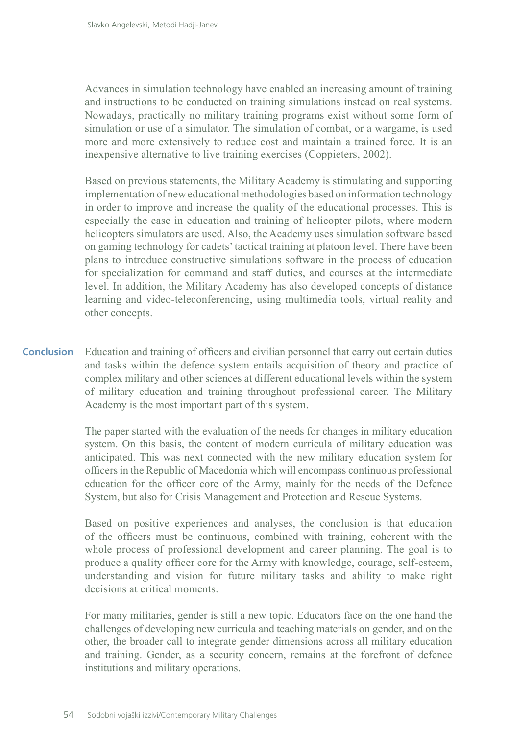Advances in simulation technology have enabled an increasing amount of training and instructions to be conducted on training simulations instead on real systems. Nowadays, practically no military training programs exist without some form of simulation or use of a simulator. The simulation of combat, or a wargame, is used more and more extensively to reduce cost and maintain a trained force. It is an inexpensive alternative to live training exercises (Coppieters, 2002).

Based on previous statements, the Military Academy is stimulating and supporting implementation of new educational methodologies based on information technology in order to improve and increase the quality of the educational processes. This is especially the case in education and training of helicopter pilots, where modern helicopters simulators are used. Also, the Academy uses simulation software based on gaming technology for cadets' tactical training at platoon level. There have been plans to introduce constructive simulations software in the process of education for specialization for command and staff duties, and courses at the intermediate level. In addition, the Military Academy has also developed concepts of distance learning and video-teleconferencing, using multimedia tools, virtual reality and other concepts.

Education and training of officers and civilian personnel that carry out certain duties and tasks within the defence system entails acquisition of theory and practice of complex military and other sciences at different educational levels within the system of military education and training throughout professional career. The Military Academy is the most important part of this system. **Conclusion**

> The paper started with the evaluation of the needs for changes in military education system. On this basis, the content of modern curricula of military education was anticipated. This was next connected with the new military education system for officers in the Republic of Macedonia which will encompass continuous professional education for the officer core of the Army, mainly for the needs of the Defence System, but also for Crisis Management and Protection and Rescue Systems.

> Based on positive experiences and analyses, the conclusion is that education of the officers must be continuous, combined with training, coherent with the whole process of professional development and career planning. The goal is to produce a quality officer core for the Army with knowledge, courage, self-esteem, understanding and vision for future military tasks and ability to make right decisions at critical moments.

> For many militaries, gender is still a new topic. Educators face on the one hand the challenges of developing new curricula and teaching materials on gender, and on the other, the broader call to integrate gender dimensions across all military education and training. Gender, as a security concern, remains at the forefront of defence institutions and military operations.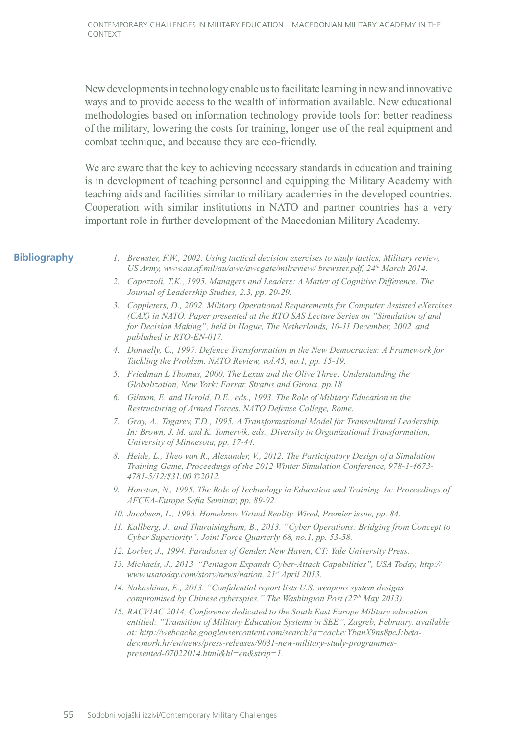New developments in technology enable us to facilitate learning in new and innovative ways and to provide access to the wealth of information available. New educational methodologies based on information technology provide tools for: better readiness of the military, lowering the costs for training, longer use of the real equipment and combat technique, and because they are eco-friendly.

We are aware that the key to achieving necessary standards in education and training is in development of teaching personnel and equipping the Military Academy with teaching aids and facilities similar to military academies in the developed countries. Cooperation with similar institutions in NATO and partner countries has a very important role in further development of the Macedonian Military Academy.

#### **Bibliography**

- *1. Brewster, F.W., 2002. Using tactical decision exercises to study tactics, Military review, US Army, www.au.af.mil/au/awc/awcgate/milreview/ brewster.pdf, 24th March 2014.*
- *2. Capozzoli, T.K., 1995. Managers and Leaders: A Matter of Cognitive Difference. The Journal of Leadership Studies, 2.3, pp. 20-29.*
- *3. Coppieters, D., 2002. Military Operational Requirements for Computer Assisted eXercises (CAX) in NATO. Paper presented at the RTO SAS Lecture Series on "Simulation of and for Decision Making", held in Hague, The Netherlands, 10-11 December, 2002, and published in RTO-EN-017.*
- *4. Donnelly, C., 1997. Defence Transformation in the New Democracies: A Framework for Tackling the Problem. NATO Review, vol.45, no.1, pp. 15-19.*
- *5. Friedman L Thomas, 2000, The Lexus and the Olive Three: Understanding the Globalization, New York: Farrar, Stratus and Giroux, pp.18*
- *6. Gilman, E. and Herold, D.E., eds., 1993. The Role of Military Education in the Restructuring of Armed Forces. NATO Defense College, Rome.*
- *7. Gray, A., Tagarev, T.D., 1995. A Transformational Model for Transcultural Leadership. In: Brown, J. M. and K. Tomervik, eds., Diversity in Organizational Transformation, University of Minnesota, pp. 17-44.*
- *8. Heide, L., Theo van R., Alexander, V., 2012. The Participatory Design of a Simulation Training Game, Proceedings of the 2012 Winter Simulation Conference, 978-1-4673- 4781-5/12/\$31.00 ©2012.*
- *9. Houston, N., 1995. The Role of Technology in Education and Training. In: Proceedings of AFCEA-Europe Sofia Seminar, pp. 89-92.*
- *10. Jacobsen, L., 1993. Homebrew Virtual Reality. Wired, Premier issue, pp. 84.*
- *11. Kallberg, J., and Thuraisingham, B., 2013. "Cyber Operations: Bridging from Concept to Cyber Superiority". Joint Force Quarterly 68, no.1, pp. 53-58.*
- *12. Lorber, J., 1994. Paradoxes of Gender. New Haven, CT: Yale University Press.*
- *13. Michaels, J., 2013. "Pentagon Expands Cyber-Attack Capabilities", USA Today, http:// www.usatoday.com/story/news/nation, 21st April 2013.*
- *14. Nakashima, E., 2013. "Confidential report lists U.S. weapons system designs compromised by Chinese cyberspies," The Washington Post (27th May 2013).*
- *15. RACVIAC 2014, Conference dedicated to the South East Europe Military education entitled: "Transition of Military Education Systems in SEE", Zagreb, February, available at: http://webcache.googleusercontent.com/search?q=cache:YbanX9ns8pcJ:betadev.morh.hr/en/news/press-releases/9031-new-military-study-programmespresented-07022014.html&hl=en&strip=1.*